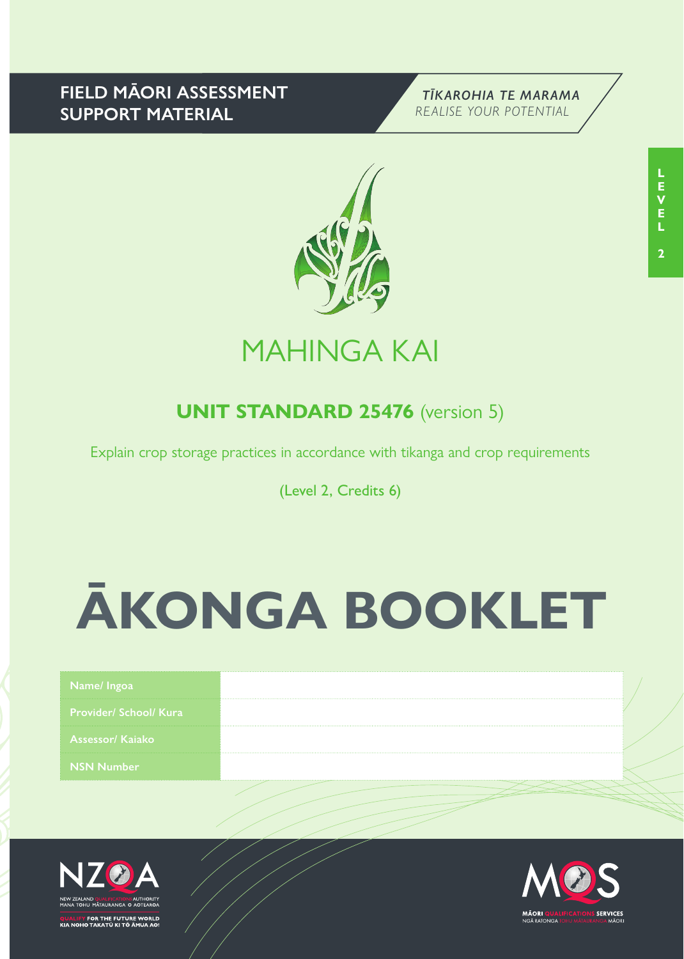## **FIELD MĀORI ASSESSMENT SUPPORT MATERIAL**





## MAHINGA KAI

## **UNIT STANDARD 25476** (version 5)

Explain crop storage practices in accordance with tikanga and crop requirements

(Level 2, Credits 6)

# **ĀKONGA BOOKLET**

| Name/Ingoal                   |  |
|-------------------------------|--|
| <b>Provider/ School/ Kura</b> |  |
| Assessor/Kajako               |  |
| <b>NSN Number</b>             |  |
|                               |  |



FOR THE FUTURE WORLD<br>O TAKATŪ KI TÕ ĀMUA AO!

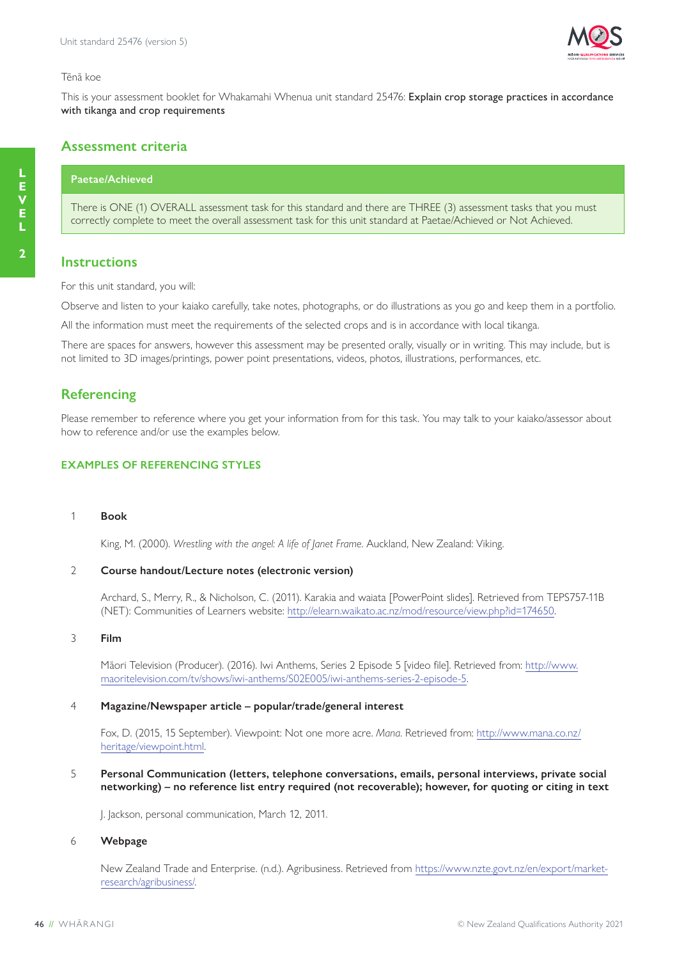

#### Tēnā koe

This is your assessment booklet for Whakamahi Whenua unit standard 25476: Explain crop storage practices in accordance with tikanga and crop requirements

#### **Assessment criteria**

#### **Paetae/Achieved**

There is ONE (1) OVERALL assessment task for this standard and there are THREE (3) assessment tasks that you must correctly complete to meet the overall assessment task for this unit standard at Paetae/Achieved or Not Achieved.

#### **Instructions**

For this unit standard, you will:

Observe and listen to your kaiako carefully, take notes, photographs, or do illustrations as you go and keep them in a portfolio.

All the information must meet the requirements of the selected crops and is in accordance with local tikanga.

There are spaces for answers, however this assessment may be presented orally, visually or in writing. This may include, but is not limited to 3D images/printings, power point presentations, videos, photos, illustrations, performances, etc.

#### **Referencing**

Please remember to reference where you get your information from for this task. You may talk to your kaiako/assessor about how to reference and/or use the examples below.

#### **EXAMPLES OF REFERENCING STYLES**

#### 1 **Book**

King, M. (2000). *Wrestling with the angel: A life of Janet Frame*. Auckland, New Zealand: Viking.

#### 2 **Course handout/Lecture notes (electronic version)**

Archard, S., Merry, R., & Nicholson, C. (2011). Karakia and waiata [PowerPoint slides]. Retrieved from TEPS757-11B (NET): Communities of Learners website: http://elearn.waikato.ac.nz/mod/resource/view.php?id=174650.

#### 3 **Film**

Māori Television (Producer). (2016). Iwi Anthems, Series 2 Episode 5 [video file]. Retrieved from: http://www. maoritelevision.com/tv/shows/iwi-anthems/S02E005/iwi-anthems-series-2-episode-5.

#### 4 **Magazine/Newspaper article – popular/trade/general interest**

Fox, D. (2015, 15 September). Viewpoint: Not one more acre. *Mana*. Retrieved from: http://www.mana.co.nz/ heritage/viewpoint.html.

5 **Personal Communication (letters, telephone conversations, emails, personal interviews, private social networking) – no reference list entry required (not recoverable); however, for quoting or citing in text**

J. Jackson, personal communication, March 12, 2011.

#### 6 **Webpage**

New Zealand Trade and Enterprise. (n.d.). Agribusiness. Retrieved from https://www.nzte.govt.nz/en/export/marketresearch/agribusiness/.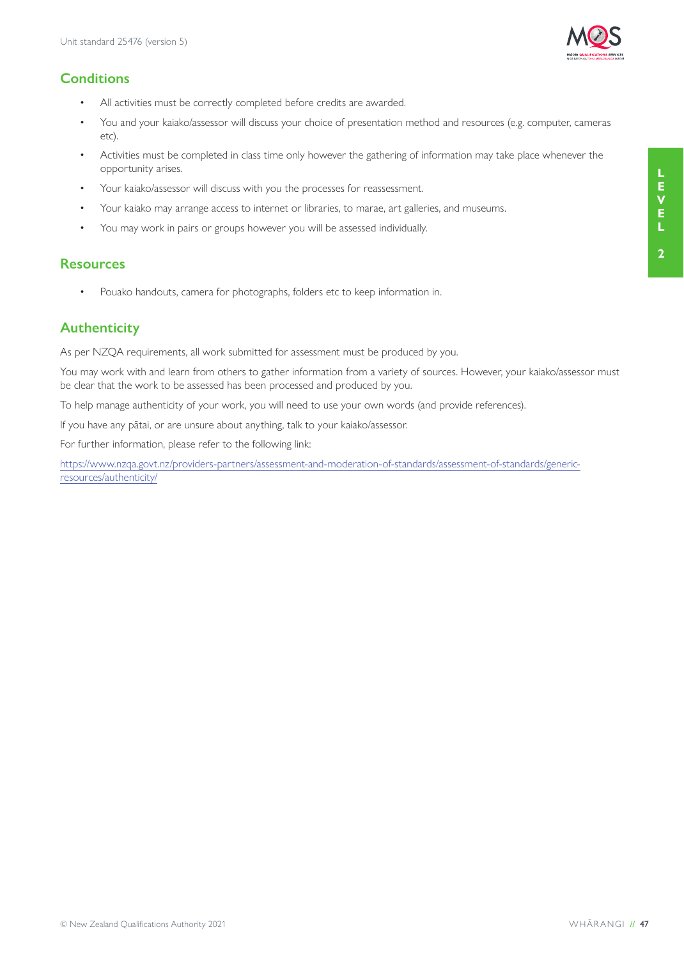### **Conditions**

- All activities must be correctly completed before credits are awarded.
- You and your kaiako/assessor will discuss your choice of presentation method and resources (e.g. computer, cameras etc).
- Activities must be completed in class time only however the gathering of information may take place whenever the opportunity arises.
- Your kaiako/assessor will discuss with you the processes for reassessment.
- Your kaiako may arrange access to internet or libraries, to marae, art galleries, and museums.
- You may work in pairs or groups however you will be assessed individually.

#### **Resources**

• Pouako handouts, camera for photographs, folders etc to keep information in.

#### **Authenticity**

As per NZQA requirements, all work submitted for assessment must be produced by you.

You may work with and learn from others to gather information from a variety of sources. However, your kaiako/assessor must be clear that the work to be assessed has been processed and produced by you.

To help manage authenticity of your work, you will need to use your own words (and provide references).

If you have any pātai, or are unsure about anything, talk to your kaiako/assessor.

For further information, please refer to the following link:

https://www.nzqa.govt.nz/providers-partners/assessment-and-moderation-of-standards/assessment-of-standards/genericresources/authenticity/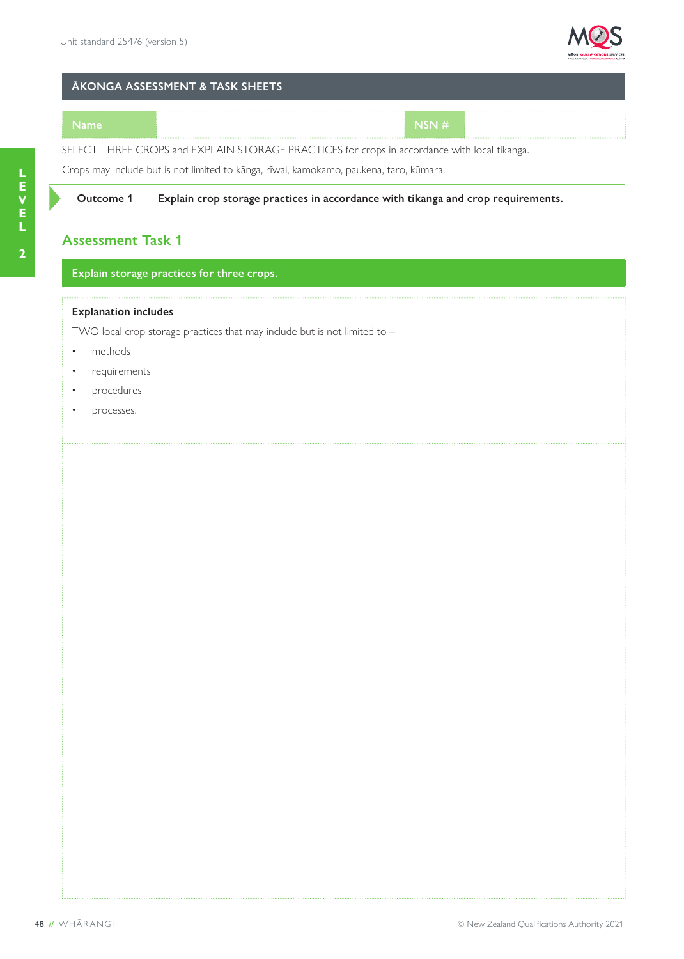

#### **ĀKONGA ASSESSMENT & TASK SHEETS**

#### **Name NSN #**

SELECT THREE CROPS and EXPLAIN STORAGE PRACTICES for crops in accordance with local tikanga.

Crops may include but is not limited to kānga, rīwai, kamokamo, paukena, taro, kūmara.

#### **Outcome 1 Explain crop storage practices in accordance with tikanga and crop requirements.**

#### **Assessment Task 1**

#### **Explain storage practices for three crops.**

#### **Explanation includes**

TWO local crop storage practices that may include but is not limited to –

- methods
- requirements
- procedures
- processes.

**2**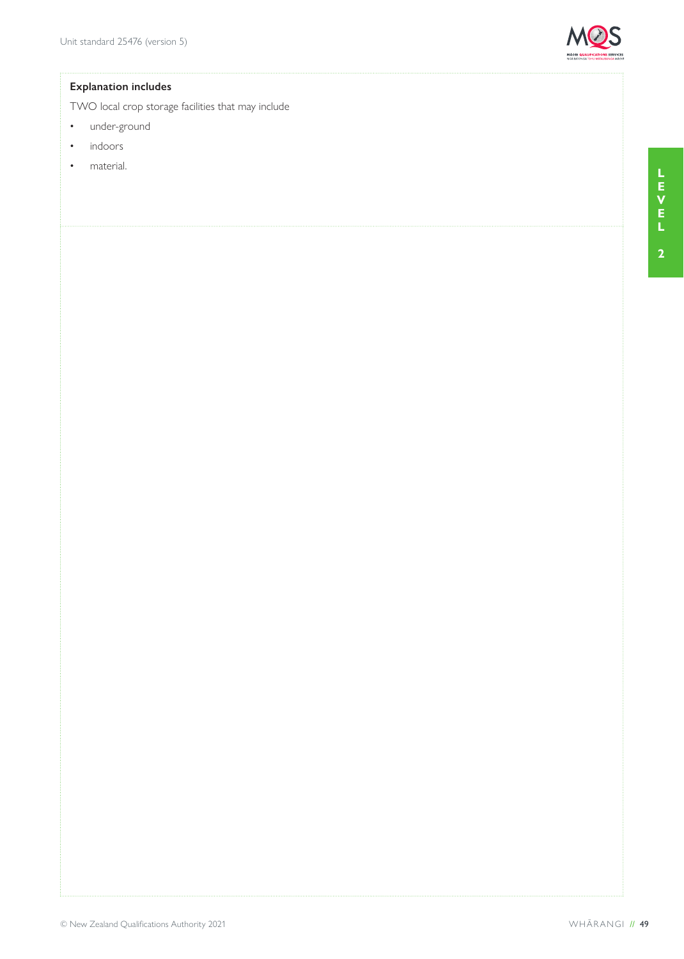

#### **Explanation includes**

TWO local crop storage facilities that may include

- under-ground
- indoors
- material.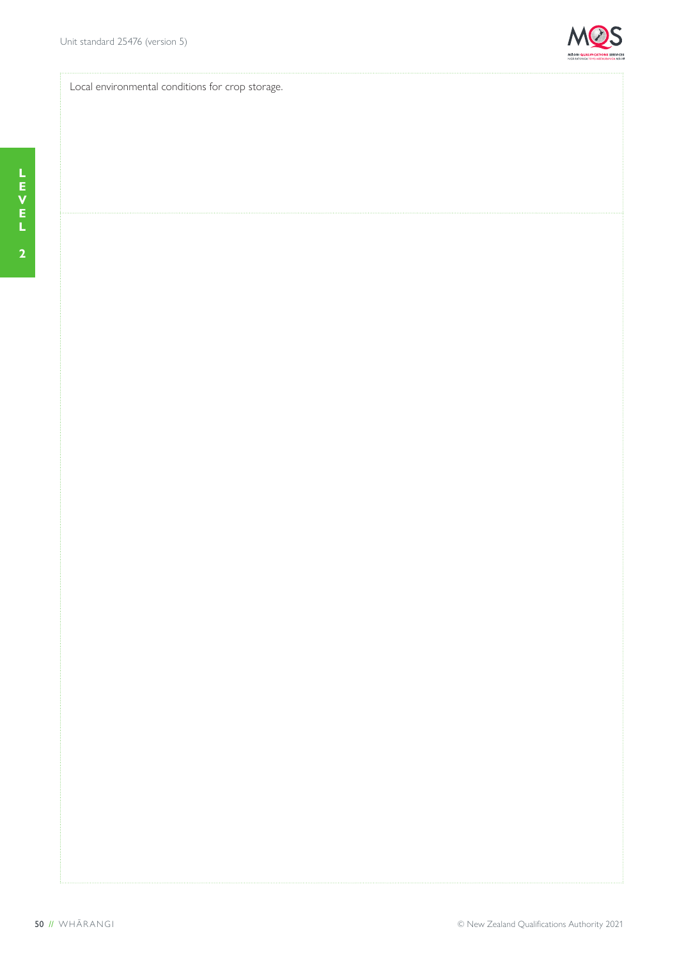

Local environmental conditions for crop storage.